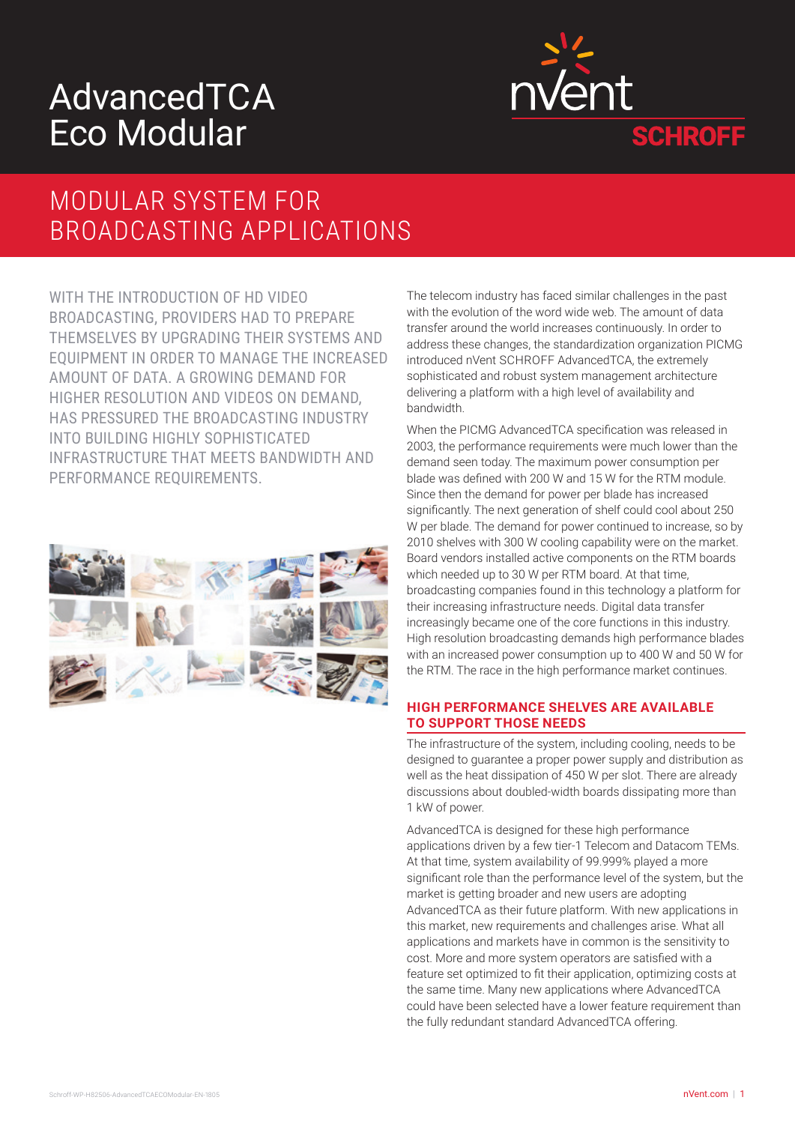# AdvancedTCA Eco Modular



### MODULAR SYSTEM FOR BROADCASTING APPLICATIONS

WITH THE INTRODUCTION OF HD VIDEO BROADCASTING, PROVIDERS HAD TO PREPARE THEMSELVES BY UPGRADING THEIR SYSTEMS AND EQUIPMENT IN ORDER TO MANAGE THE INCREASED AMOUNT OF DATA. A GROWING DEMAND FOR HIGHER RESOLUTION AND VIDEOS ON DEMAND, HAS PRESSURED THE BROADCASTING INDUSTRY INTO BUILDING HIGHLY SOPHISTICATED INFRASTRUCTURE THAT MEETS BANDWIDTH AND PERFORMANCE REQUIREMENTS.



The telecom industry has faced similar challenges in the past with the evolution of the word wide web. The amount of data transfer around the world increases continuously. In order to address these changes, the standardization organization PICMG introduced nVent SCHROFF AdvancedTCA, the extremely sophisticated and robust system management architecture delivering a platform with a high level of availability and bandwidth.

When the PICMG AdvancedTCA specification was released in 2003, the performance requirements were much lower than the demand seen today. The maximum power consumption per blade was defined with 200 W and 15 W for the RTM module. Since then the demand for power per blade has increased significantly. The next generation of shelf could cool about 250 W per blade. The demand for power continued to increase, so by 2010 shelves with 300 W cooling capability were on the market. Board vendors installed active components on the RTM boards which needed up to 30 W per RTM board. At that time, broadcasting companies found in this technology a platform for their increasing infrastructure needs. Digital data transfer increasingly became one of the core functions in this industry. High resolution broadcasting demands high performance blades with an increased power consumption up to 400 W and 50 W for the RTM. The race in the high performance market continues.

#### **HIGH PERFORMANCE SHELVES ARE AVAILABLE TO SUPPORT THOSE NEEDS**

The infrastructure of the system, including cooling, needs to be designed to guarantee a proper power supply and distribution as well as the heat dissipation of 450 W per slot. There are already discussions about doubled-width boards dissipating more than 1 kW of power.

AdvancedTCA is designed for these high performance applications driven by a few tier-1 Telecom and Datacom TEMs. At that time, system availability of 99.999% played a more significant role than the performance level of the system, but the market is getting broader and new users are adopting AdvancedTCA as their future platform. With new applications in this market, new requirements and challenges arise. What all applications and markets have in common is the sensitivity to cost. More and more system operators are satisfied with a feature set optimized to fit their application, optimizing costs at the same time. Many new applications where AdvancedTCA could have been selected have a lower feature requirement than the fully redundant standard AdvancedTCA offering.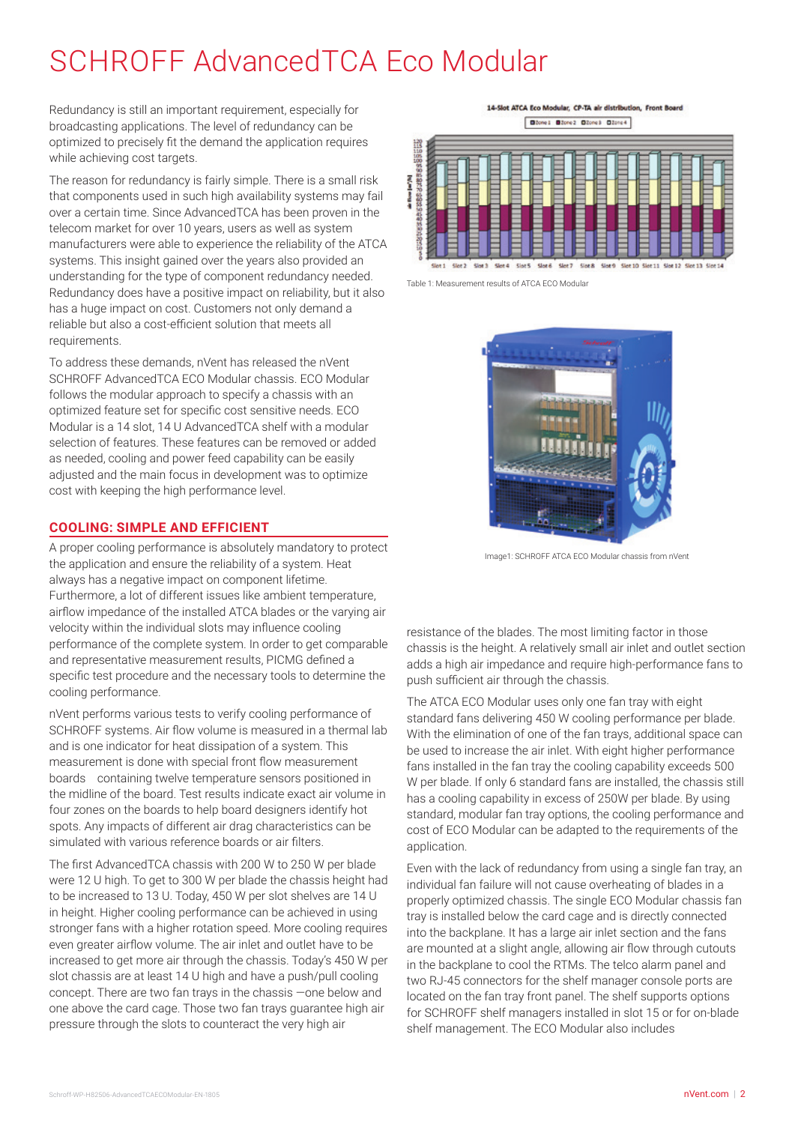### SCHROFF AdvancedTCA Eco Modular

Redundancy is still an important requirement, especially for broadcasting applications. The level of redundancy can be optimized to precisely fit the demand the application requires while achieving cost targets.

The reason for redundancy is fairly simple. There is a small risk that components used in such high availability systems may fail over a certain time. Since AdvancedTCA has been proven in the telecom market for over 10 years, users as well as system manufacturers were able to experience the reliability of the ATCA systems. This insight gained over the years also provided an understanding for the type of component redundancy needed. Redundancy does have a positive impact on reliability, but it also has a huge impact on cost. Customers not only demand a reliable but also a cost-efficient solution that meets all requirements.

To address these demands, nVent has released the nVent SCHROFF AdvancedTCA ECO Modular chassis. ECO Modular follows the modular approach to specify a chassis with an optimized feature set for specific cost sensitive needs. ECO Modular is a 14 slot, 14 U AdvancedTCA shelf with a modular selection of features. These features can be removed or added as needed, cooling and power feed capability can be easily adjusted and the main focus in development was to optimize cost with keeping the high performance level.

#### **COOLING: SIMPLE AND EFFICIENT**

A proper cooling performance is absolutely mandatory to protect the application and ensure the reliability of a system. Heat always has a negative impact on component lifetime. Furthermore, a lot of different issues like ambient temperature, airflow impedance of the installed ATCA blades or the varying air velocity within the individual slots may influence cooling performance of the complete system. In order to get comparable and representative measurement results, PICMG defined a specific test procedure and the necessary tools to determine the cooling performance.

nVent performs various tests to verify cooling performance of SCHROFF systems. Air flow volume is measured in a thermal lab and is one indicator for heat dissipation of a system. This measurement is done with special front flow measurement boards containing twelve temperature sensors positioned in the midline of the board. Test results indicate exact air volume in four zones on the boards to help board designers identify hot spots. Any impacts of different air drag characteristics can be simulated with various reference boards or air filters.

The first AdvancedTCA chassis with 200 W to 250 W per blade were 12 U high. To get to 300 W per blade the chassis height had to be increased to 13 U. Today, 450 W per slot shelves are 14 U in height. Higher cooling performance can be achieved in using stronger fans with a higher rotation speed. More cooling requires even greater airflow volume. The air inlet and outlet have to be increased to get more air through the chassis. Today's 450 W per slot chassis are at least 14 U high and have a push/pull cooling concept. There are two fan trays in the chassis —one below and one above the card cage. Those two fan trays guarantee high air pressure through the slots to counteract the very high air

14-Slot ATCA Eco Modular, CP-TA air distribution. Front Board



Table 1: Measurement results of ATCA ECO Modular



Image1: SCHROFF ATCA ECO Modular chassis from nVent

resistance of the blades. The most limiting factor in those chassis is the height. A relatively small air inlet and outlet section adds a high air impedance and require high-performance fans to push sufficient air through the chassis.

The ATCA ECO Modular uses only one fan tray with eight standard fans delivering 450 W cooling performance per blade. With the elimination of one of the fan trays, additional space can be used to increase the air inlet. With eight higher performance fans installed in the fan tray the cooling capability exceeds 500 W per blade. If only 6 standard fans are installed, the chassis still has a cooling capability in excess of 250W per blade. By using standard, modular fan tray options, the cooling performance and cost of ECO Modular can be adapted to the requirements of the application.

Even with the lack of redundancy from using a single fan tray, an individual fan failure will not cause overheating of blades in a properly optimized chassis. The single ECO Modular chassis fan tray is installed below the card cage and is directly connected into the backplane. It has a large air inlet section and the fans are mounted at a slight angle, allowing air flow through cutouts in the backplane to cool the RTMs. The telco alarm panel and two RJ-45 connectors for the shelf manager console ports are located on the fan tray front panel. The shelf supports options for SCHROFF shelf managers installed in slot 15 or for on-blade shelf management. The ECO Modular also includes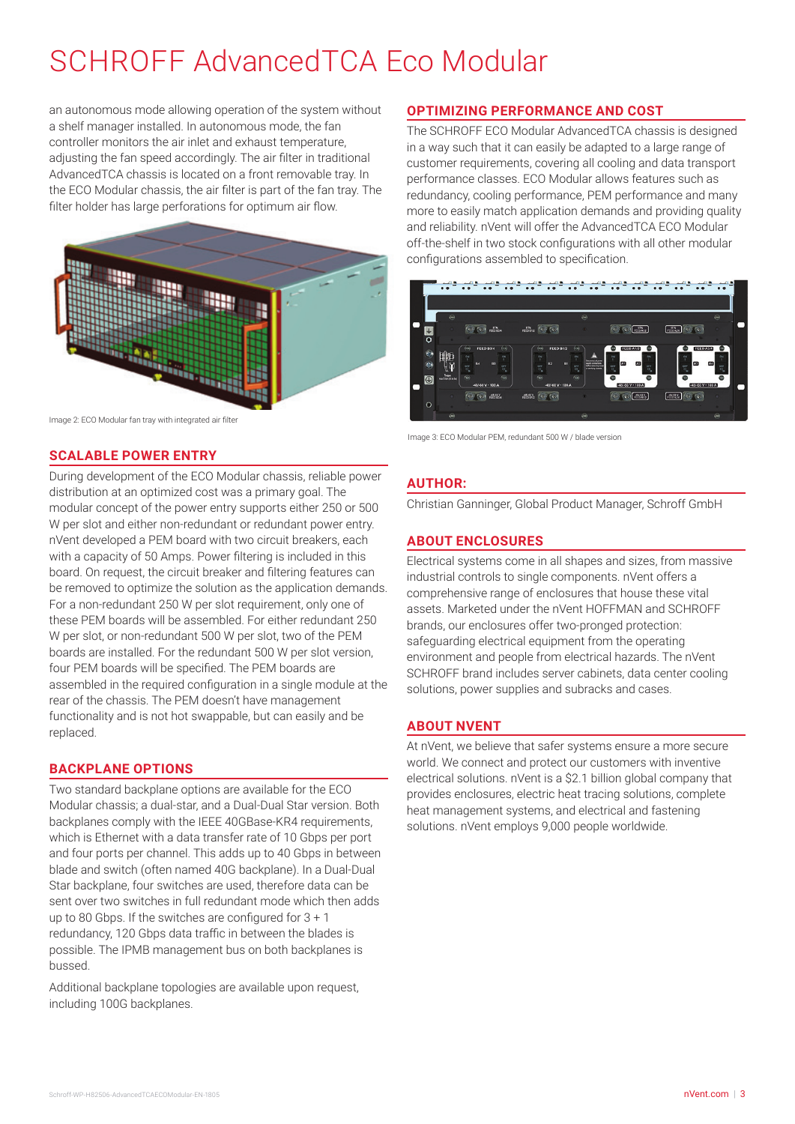## SCHROFF AdvancedTCA Eco Modular

an autonomous mode allowing operation of the system without a shelf manager installed. In autonomous mode, the fan controller monitors the air inlet and exhaust temperature, adjusting the fan speed accordingly. The air filter in traditional AdvancedTCA chassis is located on a front removable tray. In the ECO Modular chassis, the air filter is part of the fan tray. The filter holder has large perforations for optimum air flow.



#### **SCALABLE POWER ENTRY**

During development of the ECO Modular chassis, reliable power distribution at an optimized cost was a primary goal. The modular concept of the power entry supports either 250 or 500 W per slot and either non-redundant or redundant power entry. nVent developed a PEM board with two circuit breakers, each with a capacity of 50 Amps. Power filtering is included in this board. On request, the circuit breaker and filtering features can be removed to optimize the solution as the application demands. For a non-redundant 250 W per slot requirement, only one of these PEM boards will be assembled. For either redundant 250 W per slot, or non-redundant 500 W per slot, two of the PEM boards are installed. For the redundant 500 W per slot version, four PEM boards will be specified. The PEM boards are assembled in the required configuration in a single module at the rear of the chassis. The PEM doesn't have management functionality and is not hot swappable, but can easily and be replaced.

#### **BACKPLANE OPTIONS**

Two standard backplane options are available for the ECO Modular chassis; a dual-star, and a Dual-Dual Star version. Both backplanes comply with the IEEE 40GBase-KR4 requirements, which is Ethernet with a data transfer rate of 10 Gbps per port and four ports per channel. This adds up to 40 Gbps in between blade and switch (often named 40G backplane). In a Dual-Dual Star backplane, four switches are used, therefore data can be sent over two switches in full redundant mode which then adds up to 80 Gbps. If the switches are configured for 3 + 1 redundancy, 120 Gbps data traffic in between the blades is possible. The IPMB management bus on both backplanes is bussed.

Additional backplane topologies are available upon request, including 100G backplanes.

#### **OPTIMIZING PERFORMANCE AND COST**

The SCHROFF ECO Modular AdvancedTCA chassis is designed in a way such that it can easily be adapted to a large range of customer requirements, covering all cooling and data transport performance classes. ECO Modular allows features such as redundancy, cooling performance, PEM performance and many more to easily match application demands and providing quality and reliability. nVent will offer the AdvancedTCA ECO Modular off-the-shelf in two stock configurations with all other modular configurations assembled to specification.



Image 3: ECO Modular PEM, redundant 500 W / blade version

#### **AUTHOR:**

Christian Ganninger, Global Product Manager, Schroff GmbH

#### **ABOUT ENCLOSURES**

Electrical systems come in all shapes and sizes, from massive industrial controls to single components. nVent offers a comprehensive range of enclosures that house these vital assets. Marketed under the nVent HOFFMAN and SCHROFF brands, our enclosures offer two-pronged protection: safeguarding electrical equipment from the operating environment and people from electrical hazards. The nVent SCHROFF brand includes server cabinets, data center cooling solutions, power supplies and subracks and cases.

#### **ABOUT NVENT**

At nVent, we believe that safer systems ensure a more secure world. We connect and protect our customers with inventive electrical solutions. nVent is a \$2.1 billion global company that provides enclosures, electric heat tracing solutions, complete heat management systems, and electrical and fastening solutions. nVent employs 9,000 people worldwide.